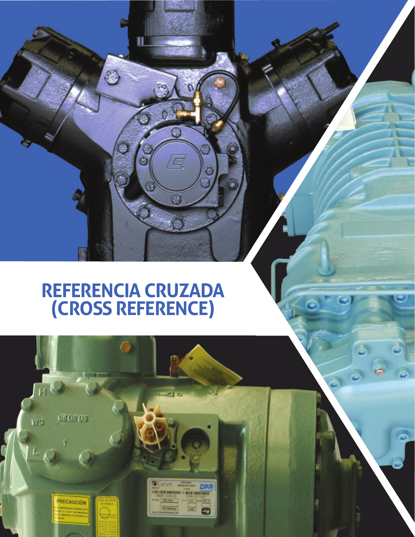# **REFERENCIA CRUZADA (CROSS REFERENCE)**

U.

 $\tilde{\mathbf{e}}$ 

B

C

G

 $\overline{\mathbb{R}}$ 

O

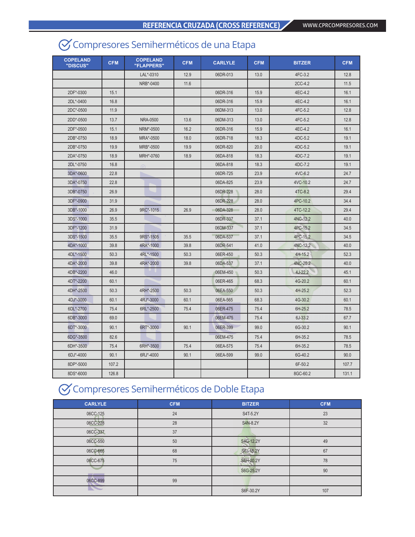# Compresores Semiherméticos de una Etapa

| <b>COPELAND</b><br>"DISCUS" | <b>CFM</b> | <b>COPELAND</b><br>"FLAPPERS" | <b>CFM</b> | <b>CARLYLE</b> | <b>CFM</b> | <b>BITZER</b> | <b>CFM</b> |
|-----------------------------|------------|-------------------------------|------------|----------------|------------|---------------|------------|
|                             |            | LAL*-0310                     | 12.9       | 06DR-013       | 13.0       | 4FC-3.2       | 12.8       |
|                             |            | NRB*-0400                     | 11.6       |                |            | 2CC-4.2       | 11.5       |
| 2DF*-0300                   | 15.1       |                               |            | 06DR-316       | 15.9       | 4EC-4.2       | 16.1       |
| 2DL*-0400                   | 16.8       |                               |            | 06DR-316       | 15.9       | 4EC-4.2       | 16.1       |
| 2DC*-0500                   | 11.9       |                               |            | 06DM-313       | 13.0       | 4FC-5.2       | 12.8       |
| 2DD*-0500                   | 13.7       | NRA-0500                      | 13.6       | 06DM-313       | 13.0       | 4FC-5.2       | 12.8       |
| 2DF*-0500                   | 15.1       | NRM*-0500                     | 16.2       | 06DR-316       | 15.9       | 4EC-4.2       | 16.1       |
| 2DB*-0750                   | 18.9       | MRA*-0500                     | 18.0       | 06DR-718       | 18.3       | 4DC-5.2       | 19.1       |
| 2DB*-0750                   | 19.9       | MRB*-0500                     | 19.9       | 06DR-820       | 20.0       | 4DC-5.2       | 19.1       |
| 2DA*-0750                   | 18.9       | MRH*-0760                     | 18.9       | 06DA-818       | 18.3       | 4DC-7.2       | 19.1       |
| 2DL*-0750                   | 16.8       |                               |            | 06DA-818       | 18.3       | 4DC-7.2       | 19.1       |
| 3DA*-0600                   | 22.8       |                               |            | 06DR-725       | 23.9       | 4VC-6.2       | 24.7       |
| 3DA*-0750                   | 22.8       |                               |            | 06DA-825       | 23.9       | 4VC-10.2      | 24.7       |
| 3DB*-0750                   | 26.9       |                               |            | 06DR-228       | 28.0       | 4TC-8.2       | 29.4       |
| 3DF*-0900                   | 31.9       |                               |            | 06DR-228       | 28.0       | 4PC-10.2      | 34.4       |
| 3DB*-1000                   | 26.9       | 9RC*-1015                     | 26.9       | 06DA-328       | 28.0       | 4TC-12.2      | 29.4       |
| 3DS*-1000                   | 35.5       |                               |            | 06DR-337       | 37.1       | 4NC-12.2      | 40.0       |
| 3DF*-1200                   | 31.9       |                               |            | 06DM-337       | 37.1       | 4PC-15.2      | 34.5       |
| 3DS*-1500                   | 35.5       | 9RS*-1505                     | 35.5       | 06DA-537       | 37.1       | 4PC-15.2      | 34.5       |
| 4DA*-1000                   | 39.8       | 4RA*-1000                     | 39.8       | 06DR-541       | 41.0       | 4NC-12.2      | 40.0       |
| 4DL*-1500                   | 50.3       | 4RL*-1500                     | 50.3       | 06ER-450       | 50.3       | 4H-15.2       | 52.3       |
| 4DA*-2000                   | 39.8       | 4RA*-2000                     | 39.8       | 06DA-537       | 37.1       | 4NC-20.2      | 40.0       |
| 4DB*-2200                   | 46.0       |                               |            | 06EM-450       | 50.3       | $4J-22.2$     | 45.1       |
| 4DT*-2200                   | 60.1       |                               |            | 06ER-465       | 68.3       | 4G-20.2       | 60.1       |
| 4DH*-2500                   | 50.3       | 4RH*-2500                     | 50.3       | 06EA-550       | 50.3       | 4H-25.2       | 52.3       |
| 4DJ*-3000                   | 60.1       | 4RJ*-3000                     | 60.1       | 06EA-565       | 68.3       | 4G-30.2       | 60.1       |
| 6DL*-2700                   | 75.4       | 6RL*-2500                     | 75.4       | 06ER-475       | 75.4       | 6H-25.2       | 78.5       |
| 6DB*-3000                   | 69.0       |                               |            | 06EM-475       | 75.4       | 6J-33.2       | 67.7       |
| 6DT*-3000                   | 90.1       | 6RT*-3000                     | 90.1       | 06ER-399       | 99.0       | 6G-30.2       | 90.1       |
| 6DG*-3500                   | 82.6       |                               |            | 06EM-475       | 75.4       | 6H-35.2       | 78.5       |
| 6DH*-3500                   | 75.4       | 6RH*-3500                     | 75.4       | 06EA-575       | 75.4       | 6H-35.2       | 78.5       |
| 6DJ*-4000                   | 90.1       | 6RJ*-4000                     | 90.1       | 06EA-599       | 99.0       | 6G-40.2       | 90.0       |
| 8DP*-5000                   | 107.2      |                               |            |                |            | 6F-50.2       | 107.7      |
| 8DS*-6000                   | 126.8      |                               |            |                |            | 8GC-60.2      | 131.1      |

### Compresores Semiherméticos de Doble Etapa

| <b>CARLYLE</b>                    | <b>CFM</b> | <b>BITZER</b> | <b>CFM</b> |
|-----------------------------------|------------|---------------|------------|
| 06CC-125                          | 24         | S4T-5.2Y      | 23         |
| 06CC-228                          | 28         | S4N-8.2Y      | 32         |
| 06CC-337                          | 37         |               |            |
| 06CC-550                          | 50         | S4G-12.2Y     | 49         |
| 06CC-665                          | 68         | S6J-16.2Y     | 67         |
| 06CC-675                          | 75         | S6H-20.2Y     | 78         |
| <b>Contract Contract Contract</b> |            | S6G-25.2Y     | 90         |
| 06CC-899                          | 99         |               |            |
|                                   |            | S6F-30.2Y     | 107        |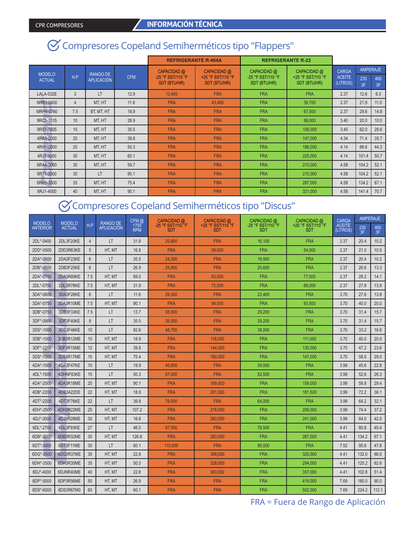# Compresores Copeland Semiherméticos tipo "Flappers"

|               |                 |                   |            | <b>REFRIGERANTE R-404A</b>       |                                  | <b>REFRIGERANTE R-22</b>         |                                  |                               |                        |      |
|---------------|-----------------|-------------------|------------|----------------------------------|----------------------------------|----------------------------------|----------------------------------|-------------------------------|------------------------|------|
| <b>MODELO</b> | H.P             | <b>RANGO DE</b>   | <b>CFM</b> | CAPACIDAD @<br>-25 °F SST/110 °F | CAPACIDAD @<br>+25 °F SST/110 °F | CAPACIDAD @<br>-25 °F SST/110 °F | CAPACIDAD @<br>+25 °F SST/110 °F | <b>CARGA</b><br><b>ACEITE</b> | <b>AMPERAJE</b><br>230 | 460  |
| <b>ACTUAL</b> |                 | <b>APLICACIÓN</b> |            | <b>SDT (BTU/HR)</b>              | <b>SDT (BTU/HR)</b>              | <b>SDT (BTU/HR)</b>              | SDT (BTU/HR)                     | (LITROS)                      | 3F                     | 3F   |
| LALA-032E     | 3               | LT                | 12.9       | 13.400                           | <b>FRA</b>                       | <b>FRA</b>                       | <b>FRA</b>                       | 2.37                          | 12.6                   | 6.3  |
| NRB1-0400     | $\overline{4}$  | MT. HT            | 11.6       | <b>FRA</b>                       | 43.400                           | <b>FRA</b>                       | 39.700                           | 2.37                          | 21.9                   | 11.0 |
| MRH4-0760     | 7.5             | BT. MT. HT        | 18.9       | <b>FRA</b>                       | <b>FRA</b>                       | <b>FRA</b>                       | 67,500                           | 2.37                          | 29.6                   | 14.8 |
| 9RC1-1015     | 10              | MT. HT            | 26.9       | <b>FRA</b>                       | <b>FRA</b>                       | <b>FRA</b>                       | 98,000                           | 3.40                          | 20.0                   | 10.0 |
| 9RS1-1505     | 15              | MT. HT            | 35.5       | <b>FRA</b>                       | <b>FRA</b>                       | <b>FRA</b>                       | 106,000                          | 3.40                          | 62.0                   | 28.6 |
| 4RA3-2000     | 20              | MT. HT            | 39.8       | <b>FRA</b>                       | <b>FRA</b>                       | <b>FRA</b>                       | 147,000                          | 4.34                          | 71.4                   | 35.7 |
| 4RH1-2500     | 25              | MT. HT            | 50.3       | <b>FRA</b>                       | <b>FRA</b>                       | <b>FRA</b>                       | 186,000                          | 4.14                          | 88.6                   | 44.3 |
| 4RJ1-3000     | 30              | MT, HT            | 60.1       | <b>FRA</b>                       | <b>FRA</b>                       | <b>FRA</b>                       | 225,000                          | 4.14                          | 101.4                  | 50.7 |
| 6RA4-3000     | 30              | MT. HT            | 59.7       | <b>FRA</b>                       | <b>FRA</b>                       | <b>FRA</b>                       | 210,000                          | 4.58                          | 104.2                  | 52.1 |
| 6RT1-3000     | 30 <sup>°</sup> | LT                | 90.1       | <b>FRA</b>                       | <b>FRA</b>                       | <b>FRA</b>                       | 210,000                          | 4.58                          | 104.2                  | 52.1 |
| 6RH1-3500     | 35              | MT. HT            | 75.4       | <b>FRA</b>                       | <b>FRA</b>                       | <b>FRA</b>                       | 287,000                          | 4.58                          | 134.2                  | 67.1 |
| 6RJ1-4000     | 40              | MT. HT            | 90.1       | <b>FRA</b>                       | <b>FRA</b>                       | <b>FRA</b>                       | 321.000                          | 4.58                          | 141.4                  | 70.7 |

### Compresores Copeland Semiherméticos tipo "Discus"

|                 | <b>MODELO</b><br><b>MODELO</b> |                | <b>RANGO DE</b>   | CFM@               | CAPACIDAD @                     | CAPACIDAD @                        | CAPACIDAD @                     | CAPACIDAD @                     | <b>CARGA</b>              | <b>AMPERAJE</b> |           |
|-----------------|--------------------------------|----------------|-------------------|--------------------|---------------------------------|------------------------------------|---------------------------------|---------------------------------|---------------------------|-----------------|-----------|
| <b>ANTERIOR</b> | <b>ACTUAL</b>                  | H.P            | <b>APLICACIÓN</b> | 1750<br><b>RPM</b> | -25 °F SST/110 °F<br><b>SDT</b> | +25 °F SST/110 °F<br><b>SDT</b>    | -25 °F SST/110 °F<br><b>SDT</b> | +25 °F SST/110 °F<br><b>SDT</b> | <b>ACEITE</b><br>(LITROS) | 230<br>3F       | 460<br>3F |
| 2DL*-0400       | 2DL3F20KE                      | $\overline{4}$ | LT                | 31.9               | 20,800                          | <b>FRA</b><br><b>FRA</b><br>16.100 |                                 | 2.37                            | 20.4                      | 10.2            |           |
| 2DD*-0500       | 2DD3R63KE                      | 5              | HT. MT            | 16.8               | <b>FRA</b>                      | 59,000                             | <b>FRA</b>                      | 54,000                          | 2.37                      | 21.0            | 10.5      |
| 2DA*-0600       | 2DA3F23KE                      | $6\phantom{1}$ | LT                | 35.5               | 24,200                          | <b>FRA</b>                         | 18.900                          | <b>FRA</b>                      | 2.37                      | 20.4            | 10.2      |
| 2DB*-0600       | 2DB3F25KE                      | 6              | LT                | 26.9               | 25,800                          | <b>FRA</b>                         | 20,600                          | <b>FRA</b>                      | 2.37                      | 26.6            | 13.3      |
| 2DA*-0750       | 2DA3R89KE                      | 7.5            | HT. MT            | 69.0               | <b>FRA</b>                      | 83.500                             | <b>FRA</b>                      | 77,000                          | 2.37                      | 28.2            | 14.1      |
| 2DL*-0750       | 2DL3R78KE                      | 7.5            | HT. MT            | 31.9               | <b>FRA</b>                      | 72,500                             | <b>FRA</b>                      | 68,000                          | 2.37                      | 27.8            | 13.9      |
| 3DA*-0600       | 3DA3F28KE                      | 6              | LT                | 11.9               | 29.300                          | <b>FRA</b>                         | 23,400                          | <b>FRA</b>                      | 3.70                      | 27.6            | 13.8      |
| 3DA*-0750       | 3DA3R10ME                      | 7.5            | HT, MT            | 90.1               | <b>FRA</b>                      | 98,000                             | <b>FRA</b>                      | 93.500                          | 3.70                      | 40.0            | 20.0      |
| 3DB*-0750       | 3DB3F33KE                      | 7.5            | LT                | 13.7               | 35,000                          | <b>FRA</b>                         | 29,200                          | <b>FRA</b>                      | 3.70                      | 31.4            | 15.7      |
| 3DF*-0900       | 3DF3F40KE                      | 9              | <b>LT</b>         | 35.5               | 35,000                          | <b>FRA</b>                         | 29,200                          | <b>FRA</b>                      | 3.70                      | 31.4            | 15.7      |
| 3DS*-1000       | 3DS3F46KE                      | 10             | LT                | 82.6               | 48,700                          | <b>FRA</b>                         | 38,000                          | <b>FRA</b>                      | 3.70                      | 33.2            | 16.6      |
| 3DB*-1000       | 3DB3R12ME                      | 10             | HT, MT            | 18.9               | <b>FRA</b>                      | 116,000                            | <b>FRA</b>                      | 111,000                         | 3.70                      | 40.0            | 20.0      |
| 3DF*-1200       | 3DF3R15ME                      | 12             | HT. MT            | 39.8               | <b>FRA</b>                      | 144.000                            | <b>FRA</b>                      | 130.000                         | 3.70                      | 47.2            | 23.6      |
| 3DS*-1500       | 3DS3R17ME                      | 15             | HT. MT            | 75.4               | <b>FRA</b>                      | 160,000                            | <b>FRA</b>                      | 147,000                         | 3.70                      | 58.0            | 29.0      |
| 4DA*-1000       | 4DA3F47KE                      | 10             | LT                | 19.9               | 49,800                          | <b>FRA</b>                         | 39,000                          | <b>FRA</b>                      | 3.99                      | 45.6            | 22.8      |
| 4DL*-1500       | 4DHNF63KE                      | 15             | LT                | 50.3               | 67,000                          | <b>FRA</b>                         | 52.500                          | <b>FRA</b>                      | 3.99                      | 52.6            | 26.3      |
| 4DA*-2000       | 4DA3R18ME                      | 20             | HT, MT            | 90.1               | <b>FRA</b>                      | 169,000                            | <b>FRA</b>                      | 159,000                         | 3.99                      | 58.8            | 29.4      |
| 4DB*-2200       | 4DB3A22DE                      | 22             | HT. MT            | 18.9               | <b>FRA</b>                      | 201,000                            | <b>FRA</b>                      | 181,500                         | 3.99                      | 72.2            | 36.1      |
| 4DT*-2200       | 4DT3F76KE                      | 22             | LT                | 39.8               | 79,500                          | <b>FRA</b>                         | 64,000                          | <b>FRA</b>                      | 3.99                      | 64.2            | 32.1      |
| 4DH*-2500       | 4DH3R22ME                      | 25             | HT. MT            | 107.2              | <b>FRA</b>                      | 216,000                            | <b>FRA</b>                      | 206,000                         | 3.99                      | 74.4            | 37.2      |
| 4DJ*-3000       | 4DJ3R28ME                      | 30             | HT, MT            | 16.8               | <b>FRA</b>                      | 260,000                            | <b>FRA</b>                      | 241,000                         | 3.99                      | 84.0            | 42.0      |
| 6DL*-2700       | 6DL3F93KE                      | 27             | LT                | 46.0               | 97,500                          | <b>FRA</b>                         | 79,500                          | <b>FRA</b>                      | 4.41                      | 80.8            | 40.4      |
| 6DB*-3000       | 6DB3R32ME                      | 30             | HT, MT            | 126.8              | <b>FRA</b>                      | 283,000                            | <b>FRA</b>                      | 267,000                         | 4.41                      | 134.2           | 67.1      |
| 6DT*-3000       | 6DT3F11ME                      | 30             | LT                | 60.1               | 110,000                         | <b>FRA</b>                         | 95,000                          | <b>FRA</b>                      | 7.52                      | 95.6            | 47.8      |
| 6DG*-3500       | 6DG3R37ME                      | 35             | HT, MT            | 22.8               | <b>FRA</b>                      | 358,000                            | <b>FRA</b>                      | 320,000                         | 4.41                      | 132.0           | 66.0      |
| 6DH*-3500       | 6DH3R35ME                      | 35             | HT. MT            | 50.3               | <b>FRA</b>                      | 328,000                            | <b>FRA</b>                      | 294,000                         | 4.41                      | 125.2           | 62.6      |
| 6DJ*-4000       | 6DJNR40ME                      | 40             | HT, MT            | 22.8               | <b>FRA</b>                      | 383,000                            | <b>FRA</b>                      | 357,000                         | 4.41                      | 102.8           | 51.4      |
| 8DP*-5000       | 8DP3R56ME                      | 50             | HT, MT            | 26.9               | <b>FRA</b>                      | <b>FRA</b>                         | <b>FRA</b>                      | 419.000                         | 7.69                      | 180.0           | 90.0      |
| 8DS*-6000       | 8DS3R67M0                      | 60             | HT, MT            | 60.1               | <b>FRA</b>                      | <b>FRA</b>                         | <b>FRA</b>                      | 502,000                         | 7.69                      | 224.2           | 112.1     |

FRA = Fuera de Rango de Aplicación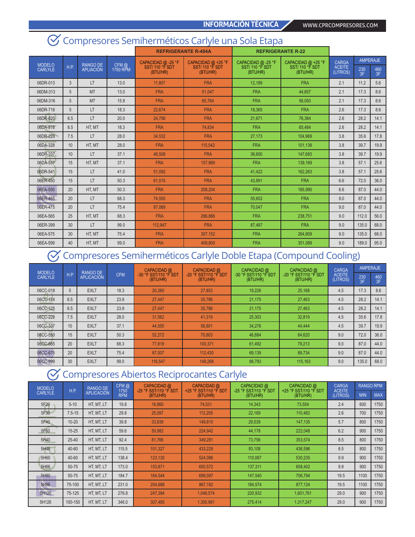#### **INFORMACIÓN TÉCNICA** WWW.CPRCOMPRESORES.COM

#### **REFRIGERANTE R-404A REFRIGERANTE R-22** MODELO<br>CARLYLE CARLYLE H.P. RANGO DE APLIACIÓN CFM @ 1750 RPM CAPACIDAD @ -25 °F SST/ 110 °F SDT (BTU/HR) CAPACIDAD @ +25 °F SST/ 110 °F SDT (BTU/HR) CAPACIDAD @ -25 °F SST/ 110 °F SDT (BTU/HR) CAPACIDAD @ +25 °F SST/ 110 °F SDT (BTU/HR) CARGA ACEITE (LITROS) AMPERAJE 230 3F 460 3F 06DR-013 | 3 | LT | 13.0 | 11,807 | FRA | 12,189 | FRA | 2.1 | 11.2 | 5.6 06DM-313 | 5 | MT | 13.0 | FRA | 51,047 | FRA | 44,657 | 2.1 |17.3 | 8.6 06DM-316 | 5 | MT | 15.9 | FRA | 65,764 | FRA | 56,093 | 2.1 |17.3 | 8.6 06DR-718 | 5 | LT | 18.3 | 22,674 | FRA | 18,365 | FRA | 2.6 | 17.3 | 8.6 06DR-820 | 6.5 | LT | 20.0 | 24,756 | FRA | 21,671 | 76,384 | 2.6 | 28.2 | 14.1 06DA-818 | 6.5 | HT, MT | 18.3 | FRA | 74,834 | FRA | 65,484 | 2.6 | 28.2 | 14.1 06DR-228 | 7.5 | LT | 28.0 | 34,532 | FRA | 27,173 | 104,969 | 3.8 | 35.6 | 17.8 06DA-328 | 10 | HT, MT | 28.0 | FRA | 115,542 | FRA | 101,138 | 3.8 | 39.7 | 19.9 06DR-337 | 10 | LT | 37.1 | 46,508 | FRA | 36,650 | 147,683 | 3.8 | 39.7 | 19.9 06DA-537 | 15 | HT,<code>MT | 37.1 | FRA | 157,989 | FRA | 139,169 | 3.8 | 57.1 | 25.6</code> 06DR-541 | 15 | LT | 41.0 | 51,092 | FRA | 41,422 | 162,263 | 3.8 | 57.1 | 25.6 06ER-450 | 15 | LT | 50.3 | 61,515 | FRA | 43,891 | FRA | 6.6 | 72.0 | 36.0 06EA-550 20 | HT, MT | 50.3 | FRA | 208,204 | FRA | 185,990 | 6.6 |87.0 | 44.0 06ER-465 20 LT 68.3 74,555 FRA 55,652 FRA 9.0 87.0 44.0 06ER-475 | 20 | LT | 75.4 | 87,069 | FRA | 70,047 | FRA | 9.0 |87.0 | 44.0 06EA-565 | 25 | HT, MT | 68.3 | FRA | 266,866 | FRA | 238,751 | 9.0 |112.0 |56.0 06ER-399 | 30 | LT | 99.0 | 112,947 | FRA | 87,487 | FRA | 9.0 |135.0 |68.0 06EA-575 | 30 | HT, MT | 75.4 | FRA | 307,152 | FRA | 264,809 | 9.0 |135.0 |68.0 06EA-599 | 40 | HT, MT | 99.0 | FRA | 409,800 | FRA | 351,089 | 9.0 |189.0 | 95.0

# Compresores Semiherméticos Carlyle una Sola Etapa

#### Compresores Semiherméticos Carlyle Doble Etapa (Compound Cooling)  $(\vee)$

| <b>MODELO</b>  |     | <b>RANGO DE</b>   |            | CAPACIDAD @                       | CAPACIDAD @                       | CAPACIDAD @                       | CAPACIDAD @                       | CARGA                     | <b>AMPERAJE</b> |           |
|----------------|-----|-------------------|------------|-----------------------------------|-----------------------------------|-----------------------------------|-----------------------------------|---------------------------|-----------------|-----------|
| <b>CARLYLE</b> | H.P | <b>APLICACIÓN</b> | <b>CFM</b> | -30 °F SST/110 °F SDT<br>(BTU/HR) | -20 °F SST/110 °F SDT<br>(BTU/HR) | -30 °F SST/110 °F SDT<br>(BTU/HR) | -20 °F SST/110 °F SDT<br>(BTU/HR) | <b>ACEITE</b><br>(LITROS) | 230<br>3F       | 460<br>3F |
| 06CC-018       | 5   | <b>EXLT</b>       | 18.3       | 20.260                            | 27.853                            | 19.226                            | 25,168                            | 4.5                       | 17.3            | 8.6       |
| 06CC-124       | 6.5 | <b>EXLT</b>       | 23.9       | 27.447                            | 35.786                            | 21.175                            | 27.463                            | 4.5                       | 28.2            | 14.1      |
| 06CC-125       | 6.5 | <b>EXLT</b>       | 23.9       | 27.447                            | 35.786                            | 21.175                            | 27.463                            | 4.5                       | 28.2            | 14.1      |
| 06CC-228       | 7.5 | <b>EXLT</b>       | 28.0       | 31.562                            | 41.319                            | 25,303                            | 32,819                            | 4.5                       | 35.6            | 17.8      |
| 06CC-337       | 10  | <b>EXLT</b>       | 37.1       | 44.555                            | 56.801                            | 34,276                            | 44.444                            | 4.5                       | 39.7            | 19.9      |
| 06CC-550       | 15  | <b>EXLT</b>       | 50.3       | 52.272                            | 70.803                            | 46.684                            | 64.620                            | 9.0                       | 72.0            | 36.0      |
| 06CC-665       | 20  | <b>EXLT</b>       | 68.3       | 77.818                            | 100.371                           | 61,492                            | 79,213                            | 9.0                       | 87.0            | 44.0      |
| 06CC-675       | 20  | <b>EXLT</b>       | 75.4       | 87,007                            | 112,430                           | 69,139                            | 89.734                            | 9.0                       | 87.0            | 44.0      |
| 06CC-899       | 30  | <b>EXLT</b>       | 99.0       | 116.547                           | 149.268                           | 88.793                            | 115,163                           | 9.0                       | 135.0           | 68.0      |

### Compresores Abiertos Reciprocantes Carlyle

| <b>MODELO</b>  | H.P.       | <b>RANGO DE</b>   | $CFM$ $@$<br>1750 | CAPACIDAD @<br>-25 °F SST/110 °F SDT | CAPACIDAD @<br>+25 °F SST/110 °F SDT | CAPACIDAD @<br>-25 °F SST/110 °F SDT | CAPACIDAD @<br>+25 °F SST/110 °F SDT | <b>CARGA</b><br><b>ACEITE</b> | <b>RANGO RPM</b> |            |
|----------------|------------|-------------------|-------------------|--------------------------------------|--------------------------------------|--------------------------------------|--------------------------------------|-------------------------------|------------------|------------|
| <b>CARLYLE</b> |            | <b>APLICACIÓN</b> | <b>RPM</b>        | (BTU/HR)                             | (BTU/HR)                             | (BTU/HR)                             | (BTU/HR)                             | (LITROS)                      | <b>MIN</b>       | <b>MAX</b> |
| 5F20           | $5 - 10$   | HT. MT. LT        | 19.8              | 16,860                               | 74.531                               | 14.343                               | 73,554                               | 2.4                           | 600              | 1750       |
| 5F30           | $7.5 - 15$ | HT. MT. LT        | 29.8              | 25.097                               | 112.205                              | 22.169                               | 110.482                              | 2.6                           | 700              | 1750       |
| 5F40           | $10 - 20$  | HT. MT. LT        | 39.8              | 33.839                               | 149.810                              | 29,539                               | 147,135                              | 5.7                           | 800              | 1750       |
| 5F60           | $15 - 25$  | HT. MT. LT        | 59.6              | 50,982                               | 224,942                              | 44,178                               | 222,048                              | 6.2                           | 900              | 1750       |
| 5H40           | $25 - 40$  | HT. MT. LT        | 92.4              | 81.766                               | 349.281                              | 73.756                               | 353,574                              | 8.5                           | 800              | 1750       |
| 5H46           | 40-60      | HT, MT, LT        | 115.5             | 101,327                              | 433,229                              | 93,108                               | 436,596                              | 8.5                           | 800              | 1750       |
| 5H60           | 40-60      | HT. MT. LT        | 138.4             | 123,130                              | 524,086                              | 110,067                              | 530,235                              | 9.9                           | 900              | 1750       |
| 5H66           | $50 - 75$  | HT. MT. LT        | 173.0             | 153,871                              | 650,572                              | 137,311                              | 658,402                              | 9.9                           | 900              | 1750       |
| 5H80           | $50 - 75$  | HT. MT. LT        | 184.7             | 164.544                              | 699.097                              | 147.540                              | 706.794                              | 19.5                          | 1100             | 1750       |
| 5H86           | 75-100     | HT, MT, LT        | 231.0             | 204,688                              | 867,182                              | 184,574                              | 877,124                              | 19.5                          | 1100             | 1750       |
| 5H120          | 75-125     | HT. MT. LT        | 276.8             | 247.394                              | 1.048.574                            | 220,932                              | 1,601,761                            | 29.0                          | 900              | 1750       |
| 5H126          | 100-150    | HT. MT. LT        | 346.0             | 307.485                              | 1,300,981                            | 275.414                              | 1.317.247                            | 29.0                          | 900              | 1750       |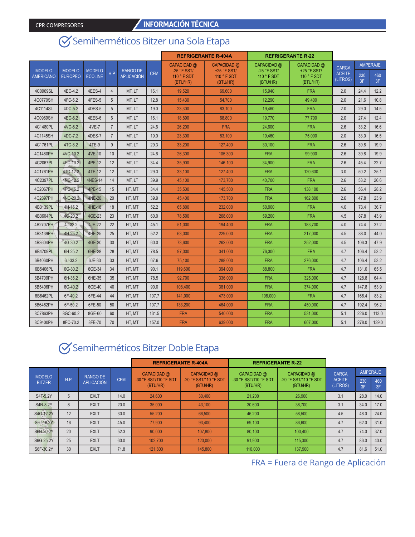# Semiherméticos Bitzer una Sola Etapa

|                                   |                                 |                                 |                |                                      |            | <b>REFRIGERANTE R-404A</b>                 |                                          |                                            | <b>REFRIGERANTE R-22</b>               |                           |           |                 |
|-----------------------------------|---------------------------------|---------------------------------|----------------|--------------------------------------|------------|--------------------------------------------|------------------------------------------|--------------------------------------------|----------------------------------------|---------------------------|-----------|-----------------|
|                                   |                                 |                                 |                |                                      |            | CAPACIDAD @                                | CAPACIDAD @                              | CAPACIDAD @                                | CAPACIDAD @                            | <b>CARGA</b>              |           | <b>AMPERAJE</b> |
| <b>MODELO</b><br><b>AMERICANO</b> | <b>MODELO</b><br><b>EUROPEO</b> | <b>MODELO</b><br><b>ECOLINE</b> | H.P            | <b>RANGO DE</b><br><b>APLICACIÓN</b> | <b>CFM</b> | $-25$ °F SST/<br>$110 °$ F SDT<br>(BTU/HR) | $+25$ °F SST/<br>110 ° F SDT<br>(BTU/HR) | $-25$ °F SST/<br>$110 °$ F SDT<br>(BTU/HR) | +25 °F SST/<br>110 ° F SDT<br>(BTU/HR) | <b>ACEITE</b><br>(LITROS) | 230<br>3F | 460<br>3F       |
| 4C0969SL                          | 4EC-4.2                         | 4EES-4                          | $\overline{4}$ | MT. LT                               | 16.1       | 19.520                                     | 69.600                                   | 15.940                                     | <b>FRA</b>                             | 2.0                       | 24.4      | 12.2            |
| 4C0770SH                          | 4FC-5.2                         | 4FES-5                          | 5              | MT. LT                               | 12.8       | 15,430                                     | 54.700                                   | 12.290                                     | 49.400                                 | 2.0                       | 21.6      | 10.8            |
| 4C1114SL                          | 4DC-5.2                         | 4DES-5                          | 5              | MT. LT                               | 19.0       | 23,300                                     | 83.100                                   | 19.460                                     | <b>FRA</b>                             | 2.0                       | 29.0      | 14.5            |
| 4C0969SH                          | 4EC-6.2                         | 4EES-6                          | $6\phantom{1}$ | MT, LT                               | 16.1       | 18,890                                     | 68,800                                   | 19,770                                     | 77,700                                 | 2.0                       | 27.4      | 12.4            |
| 4C1480PL                          | 4VC-6.2                         | 4VE-7                           | $\overline{7}$ | MT. LT                               | 24.6       | 26,200                                     | <b>FRA</b>                               | 24,600                                     | <b>FRA</b>                             | 2.6                       | 33.2      | 16.6            |
| 4C1145SH                          | 4DC-7.2                         | 4DES-7                          | $\overline{7}$ | MT. LT                               | 19.0       | 23,300                                     | 83,100                                   | 19,460                                     | 75,000                                 | 2.0                       | 33.0      | 16.5            |
| 4C1761PL                          | 4TC-8.2                         | 4TE-9                           | 9              | MT, LT                               | 29.3       | 33,200                                     | 127,400                                  | 30.100                                     | <b>FRA</b>                             | 2.6                       | 39.8      | 19.9            |
| 4C1480PH                          | 4VC-10.2                        | 4VE-10                          | 10             | MT. LT                               | 24.6       | 26,300                                     | 105.300                                  | <b>FRA</b>                                 | 99.900                                 | 2.6                       | 39.8      | 19.9            |
| 4C2067PL                          | 4PC-10.2                        | 4PE-12                          | 12             | MT. LT                               | 34.4       | 35,900                                     | 146,100                                  | 34,900                                     | <b>FRA</b>                             | 2.6                       | 45.4      | 22.7            |
| 4C1761PH                          | 4TC-12.2                        | 4TE-12                          | 12             | MT, LT                               | 29.3       | 33,100                                     | 127,400                                  | <b>FRA</b>                                 | 120,600                                | 3.0                       | 50.2      | 25.1            |
| 4C2397PL                          | 4NC-12.2                        | <b>4NES-14</b>                  | 14             | MT. LT                               | 39.9       | 45.100                                     | 173.700                                  | 40.700                                     | <b>FRA</b>                             | 2.6                       | 53.2      | 26.6            |
| 4C2067PH                          | 4PC-15.2                        | <b>4PE-15</b>                   | 15             | HT. MT                               | 34.4       | 35,500                                     | 145,500                                  | <b>FRA</b>                                 | 138,100                                | 2.6                       | 56.4      | 28.2            |
| 4C2397PH                          | 4NC-20.2                        | <b>4NE-20</b>                   | 20             | HT. MT                               | 39.9       | 45,400                                     | 173,700                                  | <b>FRA</b>                                 | 162.800                                | 2.6                       | 47.8      | 23.9            |
| 4B3139PL                          | $4H-15.2$                       | 4HE-18                          | 18             | HT. MT                               | 52.2       | 65,800                                     | 232.000                                  | 50.900                                     | <b>FRA</b>                             | 4.0                       | 73.4      | 36.7            |
| 4B3604PL                          | 4G-20.2                         | 4GE-23                          | 23             | HT. MT                               | 60.0       | 78,500                                     | 268,000                                  | 59.200                                     | <b>FRA</b>                             | 4.5                       | 87.8      | 43.9            |
| 4B2707PH                          | $4J-22.2$                       | 4JE-22                          | 22             | HT. MT                               | 45.1       | 51,000                                     | 194,400                                  | <b>FRA</b>                                 | 183.700                                | 4.0                       | 74.4      | 37.2            |
| 4B3139PH                          | 4H-25.2                         | 4HE-25                          | 25             | HT. MT                               | 52.2       | 63.000                                     | 229,000                                  | <b>FRA</b>                                 | 217.000                                | 4.5                       | 88.0      | 44.0            |
| 4B3604PH                          | 4G-30.2                         | 4GE-30                          | 30             | HT. MT                               | 60.0       | 73.600                                     | 262.000                                  | <b>FRA</b>                                 | 252.000                                | 4.5                       | 106.3     | 47.9            |
| 6B4709PL                          | 6H-25.2                         | 6HE-28                          | 28             | HT, MT                               | 78.5       | 97,000                                     | 341,000                                  | 76,300                                     | <b>FRA</b>                             | 4.7                       | 106.4     | 53.2            |
| 6B4060PH                          | 6J-33.2                         | 6JE-33                          | 33             | HT. MT                               | 67.6       | 75.100                                     | 288,000                                  | <b>FRA</b>                                 | 276.000                                | 4.7                       | 106.4     | 53.2            |
| 6B5406PL                          | 6G-30.2                         | 6GE-34                          | 34             | HT. MT                               | 90.1       | 119,600                                    | 394.000                                  | 88.800                                     | <b>FRA</b>                             | 4.7                       | 131.0     | 65.5            |
| 6B4709PH                          | 6H-35.2                         | 6HE-35                          | 35             | HT. MT                               | 78.5       | 92,700                                     | 336,000                                  | <b>FRA</b>                                 | 325.000                                | 4.7                       | 128.8     | 64.4            |
| 6B5406PH                          | 6G-40.2                         | 6GE-40                          | 40             | HT. MT                               | 90.0       | 108,400                                    | 381.000                                  | <b>FRA</b>                                 | 374.000                                | 4.7                       | 147.8     | 53.9            |
| 6B6462PL                          | 6F-40.2                         | 6FE-44                          | 44             | HT. MT                               | 107.7      | 141,000                                    | 473,000                                  | 108,000                                    | <b>FRA</b>                             | 4.7                       | 166.4     | 83.2            |
| 6B6462PH                          | 6F-50.2                         | 6FE-50                          | 50             | HT. MT                               | 107.7      | 133.200                                    | 464.000                                  | <b>FRA</b>                                 | 450.000                                | 4.7                       | 192.4     | 96.2            |
| 8C7863PH                          | 8GC-60.2                        | 8GE-60                          | 60             | HT, MT                               | 131.5      | <b>FRA</b>                                 | 540,000                                  | <b>FRA</b>                                 | 531,000                                | 5.1                       | 226.0     | 113.0           |
| 8C9400PH                          | 8FC-70.2                        | 8FE-70                          | 70             | HT. MT                               | 157.0      | <b>FRA</b>                                 | 639,000                                  | <b>FRA</b>                                 | 607.000                                | 5.1                       | 278.0     | 139.0           |

### Semiherméticos Bitzer Doble Etapa

|               |      |                   |            | <b>REFRIGERANTE R-404A</b>        |                                   |                                   | <b>REFRIGERANTE R-22</b>          |                           |                 |           |
|---------------|------|-------------------|------------|-----------------------------------|-----------------------------------|-----------------------------------|-----------------------------------|---------------------------|-----------------|-----------|
| <b>MODELO</b> |      | <b>RANGO DE</b>   |            | CAPACIDAD @                       | CAPACIDAD @                       | CAPACIDAD @                       | CAPACIDAD @                       | <b>CARGA</b>              | <b>AMPERAJE</b> |           |
| <b>BITZER</b> | H.P. | <b>APLICACIÓN</b> | <b>CFM</b> | -30 °F SST/110 °F SDT<br>(BTU/HR) | -20 °F SST/110 °F SDT<br>(BTU/HR) | -30 °F SST/110 °F SDT<br>(BTU/HR) | -20 °F SST/110 °F SDT<br>(BTU/HR) | <b>ACEITE</b><br>(LITROS) | 230<br>3F       | 460<br>3F |
| S4T-5.2Y      | 5    | <b>EXLT</b>       | 14.0       | 24.600                            | 30.400                            | 21.200                            | 26,900                            | 3.1                       | 28.0            | 14.0      |
| S4N-8.2Y      | 8    | <b>EXLT</b>       | 20.0       | 35,000                            | 43.100                            | 30,600                            | 38.700                            | 3.1                       | 34.0            | 17.0      |
| S4G-12.2Y     | 12   | <b>EXLT</b>       | 30.0       | 55,200                            | 66,500                            | 46.200                            | 58,500                            | 4.5                       | 48.0            | 24.0      |
| S6J-16.2Y     | 16   | <b>EXLT</b>       | 45.0       | 77,900                            | 93.400                            | 69.100                            | 86.600                            | 4.7                       | 62.0            | 31.0      |
| S6H-20.2Y     | 20   | <b>EXLT</b>       | 52.3       | 90.000                            | 107.800                           | 80.100                            | 100.400                           | 4.7                       | 74.0            | 37.0      |
| S6G-25.2Y     | 25   | <b>EXLT</b>       | 60.0       | 102.700                           | 123,000                           | 91.900                            | 115,300                           | 4.7                       | 86.0            | 43.0      |
| S6F-30.2Y     | 30   | <b>EXLT</b>       | 71.8       | 121.800                           | 145,800                           | 110,000                           | 137,900                           | 4.7                       | 81.6            | 51.0      |

FRA = Fuera de Rango de Aplicación